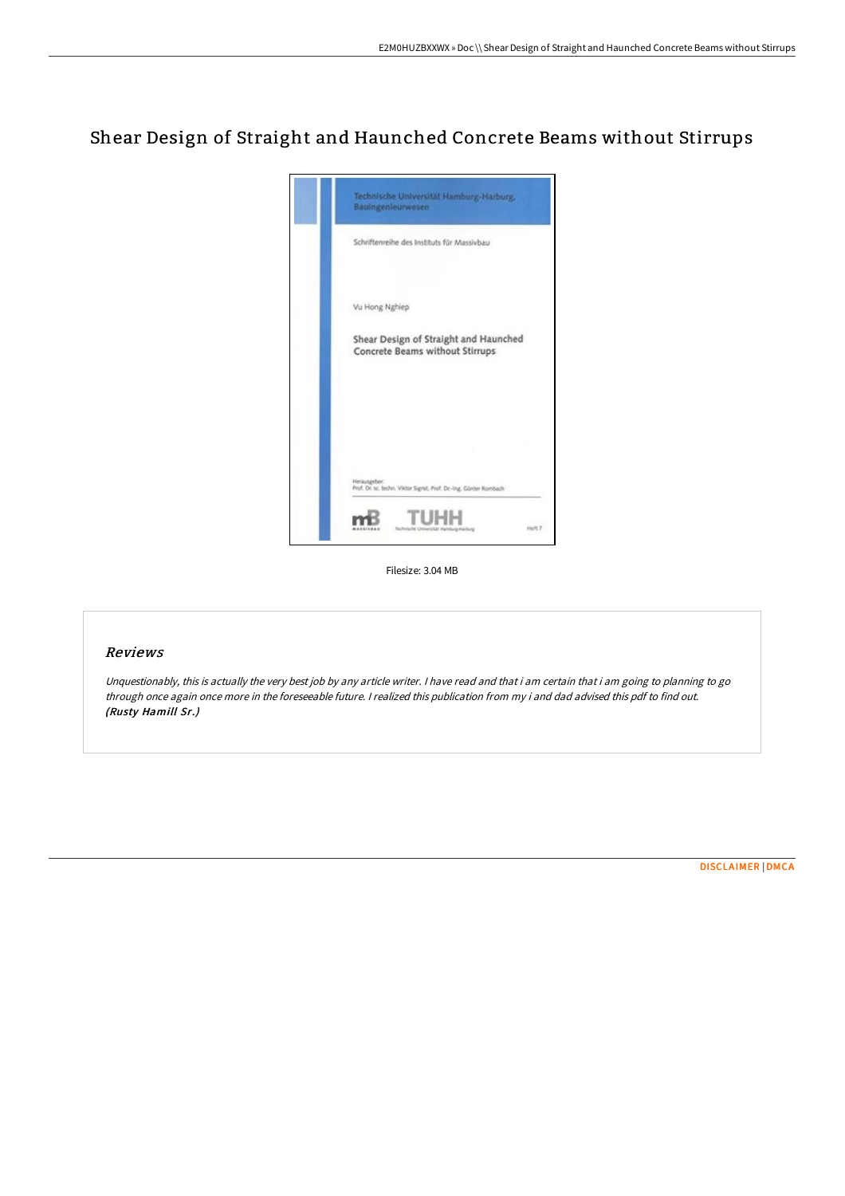# Shear Design of Straight and Haunched Concrete Beams without Stirrups



Filesize: 3.04 MB

## Reviews

Unquestionably, this is actually the very best job by any article writer. I have read and that i am certain that i am going to planning to go through once again once more in the foreseeable future. <sup>I</sup> realized this publication from my i and dad advised this pdf to find out. (Rusty Hamill Sr.)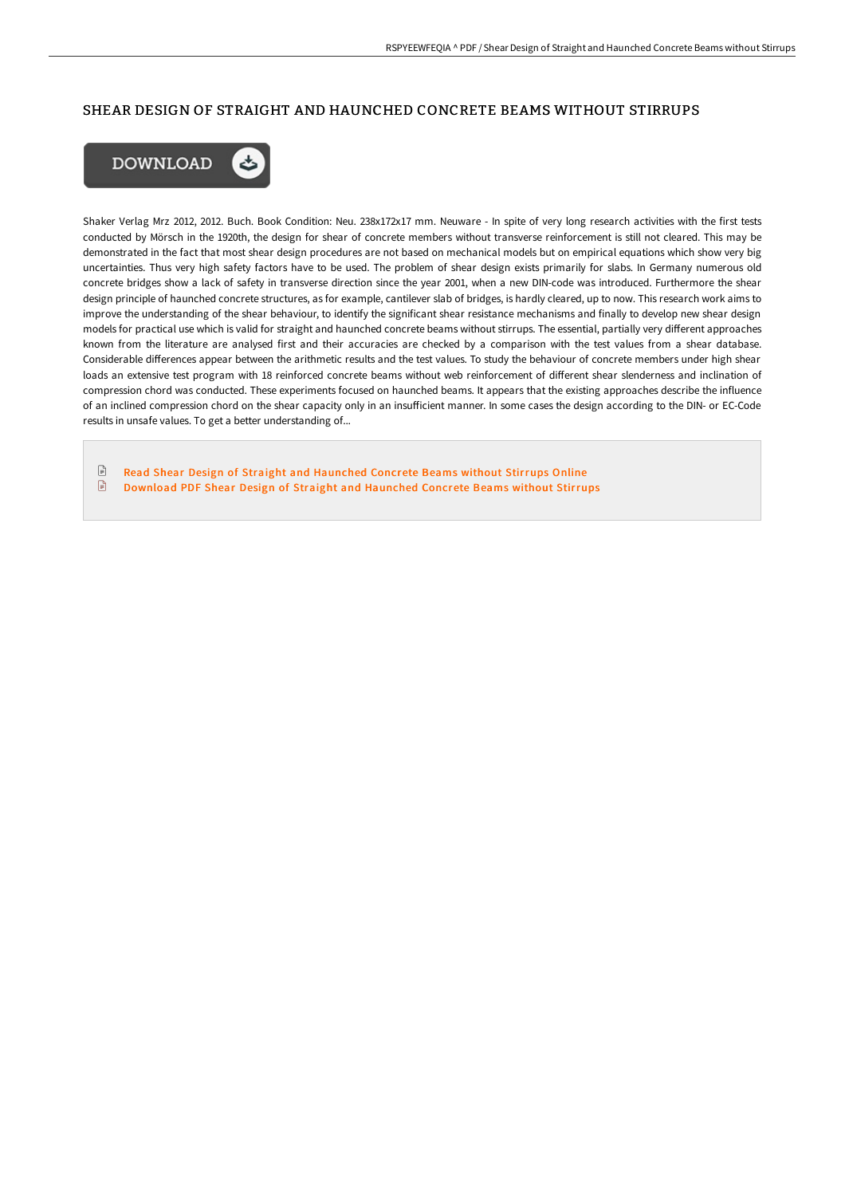## SHEAR DESIGN OF STRAIGHT AND HAUNCHED CONCRETE BEAMS WITHOUT STIRRUPS



Shaker Verlag Mrz 2012, 2012. Buch. Book Condition: Neu. 238x172x17 mm. Neuware - In spite of very long research activities with the first tests conducted by Mörsch in the 1920th, the design for shear of concrete members without transverse reinforcement is still not cleared. This may be demonstrated in the fact that most shear design procedures are not based on mechanical models but on empirical equations which show very big uncertainties. Thus very high safety factors have to be used. The problem of shear design exists primarily for slabs. In Germany numerous old concrete bridges show a lack of safety in transverse direction since the year 2001, when a new DIN-code was introduced. Furthermore the shear design principle of haunched concrete structures, as for example, cantilever slab of bridges, is hardly cleared, up to now. This research work aims to improve the understanding of the shear behaviour, to identify the significant shear resistance mechanisms and finally to develop new shear design models for practical use which is valid for straight and haunched concrete beams without stirrups. The essential, partially very different approaches known from the literature are analysed first and their accuracies are checked by a comparison with the test values from a shear database. Considerable differences appear between the arithmetic results and the test values. To study the behaviour of concrete members under high shear loads an extensive test program with 18 reinforced concrete beams without web reinforcement of different shear slenderness and inclination of compression chord was conducted. These experiments focused on haunched beams. It appears that the existing approaches describe the influence of an inclined compression chord on the shear capacity only in an insufficient manner. In some cases the design according to the DIN- or EC-Code results in unsafe values. To get a better understanding of...

 $\mathop{\boxplus}$ Read Shear Design of Straight and [Haunched](http://techno-pub.tech/shear-design-of-straight-and-haunched-concrete-b.html) Concrete Beams without Stirrups Online  $\begin{tabular}{|c|c|} \hline \quad \quad & \quad \quad & \quad \quad \\ \hline \end{tabular}$ [Download](http://techno-pub.tech/shear-design-of-straight-and-haunched-concrete-b.html) PDF Shear Design of Straight and Haunched Concrete Beams without Stirrups